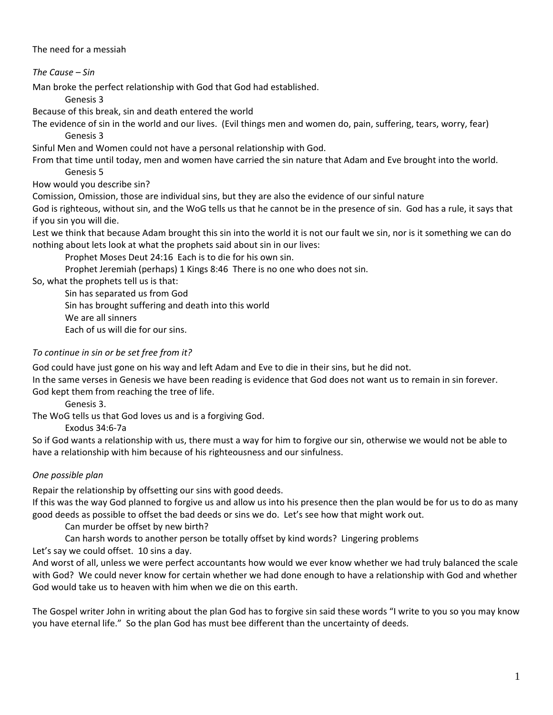The need for a messiah

*The Cause – Sin*

Man broke the perfect relationship with God that God had established.

Genesis 3

Because of this break, sin and death entered the world

The evidence of sin in the world and our lives. (Evil things men and women do, pain, suffering, tears, worry, fear) Genesis 3

Sinful Men and Women could not have a personal relationship with God.

From that time until today, men and women have carried the sin nature that Adam and Eve brought into the world.

Genesis 5

How would you describe sin?

Comission, Omission, those are individual sins, but they are also the evidence of our sinful nature

God is righteous, without sin, and the WoG tells us that he cannot be in the presence of sin. God has a rule, it says that if you sin you will die.

Lest we think that because Adam brought this sin into the world it is not our fault we sin, nor is it something we can do nothing about lets look at what the prophets said about sin in our lives:

Prophet Moses Deut 24:16 Each is to die for his own sin.

Prophet Jeremiah (perhaps) 1 Kings 8:46 There is no one who does not sin.

So, what the prophets tell us is that:

Sin has separated us from God Sin has brought suffering and death into this world We are all sinners Each of us will die for our sins.

# *To continue in sin or be set free from it?*

God could have just gone on his way and left Adam and Eve to die in their sins, but he did not.

In the same verses in Genesis we have been reading is evidence that God does not want us to remain in sin forever. God kept them from reaching the tree of life.

Genesis 3.

The WoG tells us that God loves us and is a forgiving God.

## Exodus 34:6‐7a

So if God wants a relationship with us, there must a way for him to forgive our sin, otherwise we would not be able to have a relationship with him because of his righteousness and our sinfulness.

## *One possible plan*

Repair the relationship by offsetting our sins with good deeds.

If this was the way God planned to forgive us and allow us into his presence then the plan would be for us to do as many good deeds as possible to offset the bad deeds or sins we do. Let's see how that might work out.

Can murder be offset by new birth?

Can harsh words to another person be totally offset by kind words? Lingering problems

Let's say we could offset. 10 sins a day.

And worst of all, unless we were perfect accountants how would we ever know whether we had truly balanced the scale with God? We could never know for certain whether we had done enough to have a relationship with God and whether God would take us to heaven with him when we die on this earth.

The Gospel writer John in writing about the plan God has to forgive sin said these words "I write to you so you may know you have eternal life." So the plan God has must bee different than the uncertainty of deeds.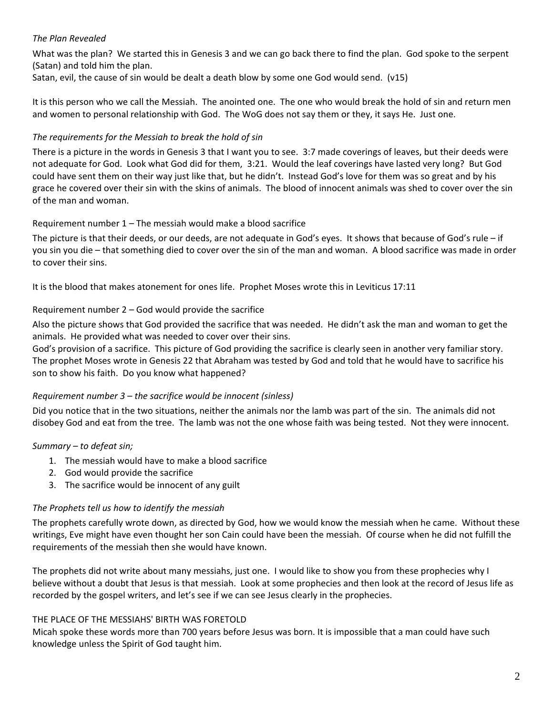## *The Plan Revealed*

What was the plan? We started this in Genesis 3 and we can go back there to find the plan. God spoke to the serpent (Satan) and told him the plan.

Satan, evil, the cause of sin would be dealt a death blow by some one God would send. (v15)

It is this person who we call the Messiah. The anointed one. The one who would break the hold of sin and return men and women to personal relationship with God. The WoG does not say them or they, it says He. Just one.

## *The requirements for the Messiah to break the hold of sin*

There is a picture in the words in Genesis 3 that I want you to see. 3:7 made coverings of leaves, but their deeds were not adequate for God. Look what God did for them, 3:21. Would the leaf coverings have lasted very long? But God could have sent them on their way just like that, but he didn't. Instead God's love for them was so great and by his grace he covered over their sin with the skins of animals. The blood of innocent animals was shed to cover over the sin of the man and woman.

## Requirement number 1 – The messiah would make a blood sacrifice

The picture is that their deeds, or our deeds, are not adequate in God's eyes. It shows that because of God's rule – if you sin you die – that something died to cover over the sin of the man and woman. A blood sacrifice was made in order to cover their sins.

It is the blood that makes atonement for ones life. Prophet Moses wrote this in Leviticus 17:11

## Requirement number 2 – God would provide the sacrifice

Also the picture shows that God provided the sacrifice that was needed. He didn't ask the man and woman to get the animals. He provided what was needed to cover over their sins.

God's provision of a sacrifice. This picture of God providing the sacrifice is clearly seen in another very familiar story. The prophet Moses wrote in Genesis 22 that Abraham was tested by God and told that he would have to sacrifice his son to show his faith. Do you know what happened?

## *Requirement number 3 – the sacrifice would be innocent (sinless)*

Did you notice that in the two situations, neither the animals nor the lamb was part of the sin. The animals did not disobey God and eat from the tree. The lamb was not the one whose faith was being tested. Not they were innocent.

#### *Summary – to defeat sin;*

- 1. The messiah would have to make a blood sacrifice
- 2. God would provide the sacrifice
- 3. The sacrifice would be innocent of any guilt

#### *The Prophets tell us how to identify the messiah*

The prophets carefully wrote down, as directed by God, how we would know the messiah when he came. Without these writings, Eve might have even thought her son Cain could have been the messiah. Of course when he did not fulfill the requirements of the messiah then she would have known.

The prophets did not write about many messiahs, just one. I would like to show you from these prophecies why I believe without a doubt that Jesus is that messiah. Look at some prophecies and then look at the record of Jesus life as recorded by the gospel writers, and let's see if we can see Jesus clearly in the prophecies.

#### THE PLACE OF THE MESSIAHS' BIRTH WAS FORETOLD

Micah spoke these words more than 700 years before Jesus was born. It is impossible that a man could have such knowledge unless the Spirit of God taught him.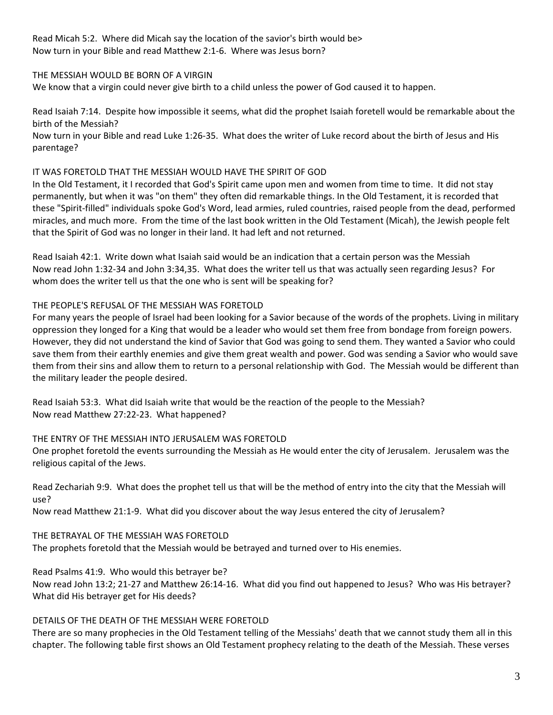Read Micah 5:2. Where did Micah say the location of the savior's birth would be> Now turn in your Bible and read Matthew 2:1‐6. Where was Jesus born?

### THE MESSIAH WOULD BE BORN OF A VIRGIN

We know that a virgin could never give birth to a child unless the power of God caused it to happen.

Read Isaiah 7:14. Despite how impossible it seems, what did the prophet Isaiah foretell would be remarkable about the birth of the Messiah?

Now turn in your Bible and read Luke 1:26‐35. What does the writer of Luke record about the birth of Jesus and His parentage?

#### IT WAS FORETOLD THAT THE MESSIAH WOULD HAVE THE SPIRIT OF GOD

In the Old Testament, it I recorded that God's Spirit came upon men and women from time to time. It did not stay permanently, but when it was "on them" they often did remarkable things. In the Old Testament, it is recorded that these "Spirit‐filled" individuals spoke God's Word, lead armies, ruled countries, raised people from the dead, performed miracles, and much more. From the time of the last book written in the Old Testament (Micah), the Jewish people felt that the Spirit of God was no longer in their land. It had left and not returned.

Read Isaiah 42:1. Write down what Isaiah said would be an indication that a certain person was the Messiah Now read John 1:32‐34 and John 3:34,35. What does the writer tell us that was actually seen regarding Jesus? For whom does the writer tell us that the one who is sent will be speaking for?

#### THE PEOPLE'S REFUSAL OF THE MESSIAH WAS FORETOLD

For many years the people of Israel had been looking for a Savior because of the words of the prophets. Living in military oppression they longed for a King that would be a leader who would set them free from bondage from foreign powers. However, they did not understand the kind of Savior that God was going to send them. They wanted a Savior who could save them from their earthly enemies and give them great wealth and power. God was sending a Savior who would save them from their sins and allow them to return to a personal relationship with God. The Messiah would be different than the military leader the people desired.

Read Isaiah 53:3. What did Isaiah write that would be the reaction of the people to the Messiah? Now read Matthew 27:22‐23. What happened?

#### THE ENTRY OF THE MESSIAH INTO JERUSALEM WAS FORETOLD

One prophet foretold the events surrounding the Messiah as He would enter the city of Jerusalem. Jerusalem was the religious capital of the Jews.

Read Zechariah 9:9. What does the prophet tell us that will be the method of entry into the city that the Messiah will use?

Now read Matthew 21:1‐9. What did you discover about the way Jesus entered the city of Jerusalem?

#### THE BETRAYAL OF THE MESSIAH WAS FORETOLD

The prophets foretold that the Messiah would be betrayed and turned over to His enemies.

Read Psalms 41:9. Who would this betrayer be?

Now read John 13:2; 21‐27 and Matthew 26:14‐16. What did you find out happened to Jesus? Who was His betrayer? What did His betrayer get for His deeds?

## DETAILS OF THE DEATH OF THE MESSIAH WERE FORETOLD

There are so many prophecies in the Old Testament telling of the Messiahs' death that we cannot study them all in this chapter. The following table first shows an Old Testament prophecy relating to the death of the Messiah. These verses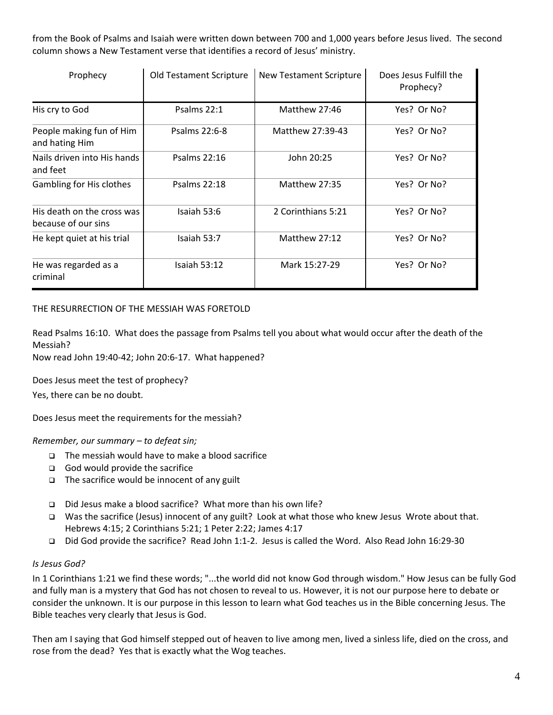from the Book of Psalms and Isaiah were written down between 700 and 1,000 years before Jesus lived. The second column shows a New Testament verse that identifies a record of Jesus' ministry.

| Prophecy                                          | Old Testament Scripture | <b>New Testament Scripture</b> | Does Jesus Fulfill the<br>Prophecy? |
|---------------------------------------------------|-------------------------|--------------------------------|-------------------------------------|
| His cry to God                                    | Psalms 22:1             | Matthew 27:46                  | Yes? Or No?                         |
| People making fun of Him<br>and hating Him        | Psalms 22:6-8           | Matthew 27:39-43               | Yes? Or No?                         |
| Nails driven into His hands<br>and feet           | Psalms 22:16            | John 20:25                     | Yes? Or No?                         |
| Gambling for His clothes                          | <b>Psalms 22:18</b>     | Matthew 27:35                  | Yes? Or No?                         |
| His death on the cross was<br>because of our sins | Isaiah 53:6             | 2 Corinthians 5:21             | Yes? Or No?                         |
| He kept quiet at his trial                        | Isaiah 53:7             | Matthew 27:12                  | Yes? Or No?                         |
| He was regarded as a<br>criminal                  | Isaiah 53:12            | Mark 15:27-29                  | Yes? Or No?                         |

#### THE RESURRECTION OF THE MESSIAH WAS FORETOLD

Read Psalms 16:10. What does the passage from Psalms tell you about what would occur after the death of the Messiah?

Now read John 19:40‐42; John 20:6‐17. What happened?

Does Jesus meet the test of prophecy?

Yes, there can be no doubt.

Does Jesus meet the requirements for the messiah?

#### *Remember, our summary – to defeat sin;*

- $\Box$  The messiah would have to make a blood sacrifice
- $\Box$  God would provide the sacrifice
- $\Box$  The sacrifice would be innocent of any guilt
- □ Did Jesus make a blood sacrifice? What more than his own life?
- Was the sacrifice (Jesus) innocent of any guilt? Look at what those who knew Jesus Wrote about that. Hebrews 4:15; 2 Corinthians 5:21; 1 Peter 2:22; James 4:17
- Did God provide the sacrifice? Read John 1:1‐2. Jesus is called the Word. Also Read John 16:29‐30

#### *Is Jesus God?*

In 1 Corinthians 1:21 we find these words; "...the world did not know God through wisdom." How Jesus can be fully God and fully man is a mystery that God has not chosen to reveal to us. However, it is not our purpose here to debate or consider the unknown. It is our purpose in this lesson to learn what God teaches us in the Bible concerning Jesus. The Bible teaches very clearly that Jesus is God.

Then am I saying that God himself stepped out of heaven to live among men, lived a sinless life, died on the cross, and rose from the dead? Yes that is exactly what the Wog teaches.